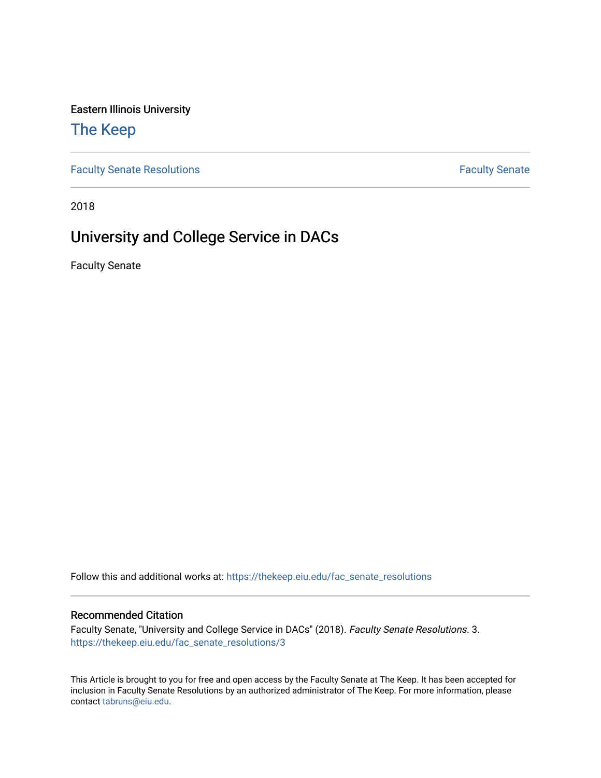Eastern Illinois University

## [The Keep](https://thekeep.eiu.edu/)

[Faculty Senate Resolutions](https://thekeep.eiu.edu/fac_senate_resolutions) **Faculty** Senate **Faculty** Senate

2018

# University and College Service in DACs

Faculty Senate

Follow this and additional works at: [https://thekeep.eiu.edu/fac\\_senate\\_resolutions](https://thekeep.eiu.edu/fac_senate_resolutions?utm_source=thekeep.eiu.edu%2Ffac_senate_resolutions%2F3&utm_medium=PDF&utm_campaign=PDFCoverPages)

#### Recommended Citation

Faculty Senate, "University and College Service in DACs" (2018). Faculty Senate Resolutions. 3. [https://thekeep.eiu.edu/fac\\_senate\\_resolutions/3](https://thekeep.eiu.edu/fac_senate_resolutions/3?utm_source=thekeep.eiu.edu%2Ffac_senate_resolutions%2F3&utm_medium=PDF&utm_campaign=PDFCoverPages) 

This Article is brought to you for free and open access by the Faculty Senate at The Keep. It has been accepted for inclusion in Faculty Senate Resolutions by an authorized administrator of The Keep. For more information, please contact [tabruns@eiu.edu](mailto:tabruns@eiu.edu).